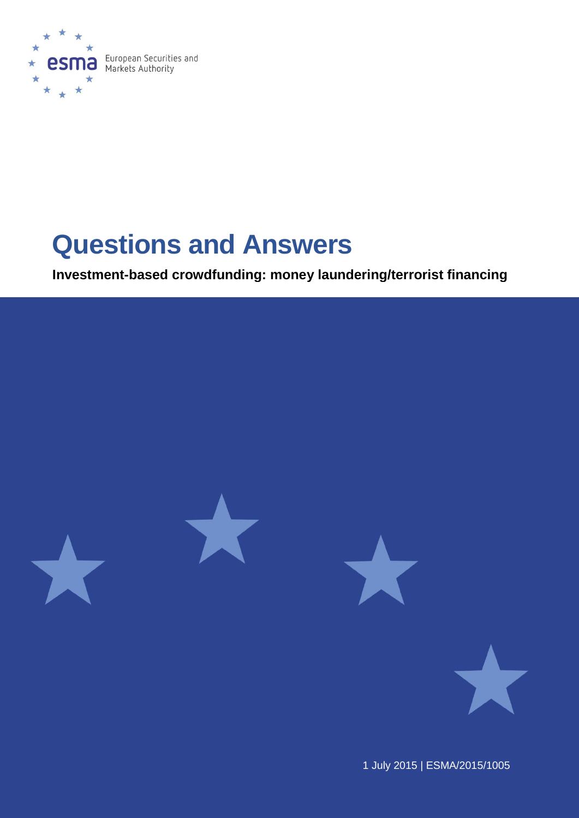

# **Questions and Answers**

**Investment-based crowdfunding: money laundering/terrorist financing**



1 July 2015 | ESMA/2015/1005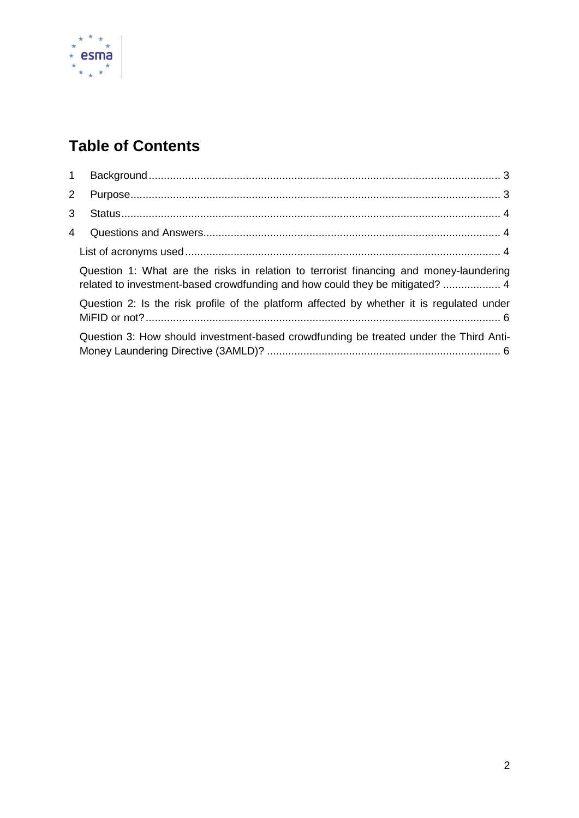

## **Table of Contents**

| Question 1: What are the risks in relation to terrorist financing and money-laundering<br>related to investment-based crowdfunding and how could they be mitigated?  4 |
|------------------------------------------------------------------------------------------------------------------------------------------------------------------------|
| Question 2: Is the risk profile of the platform affected by whether it is regulated under                                                                              |
| Question 3: How should investment-based crowdfunding be treated under the Third Anti-                                                                                  |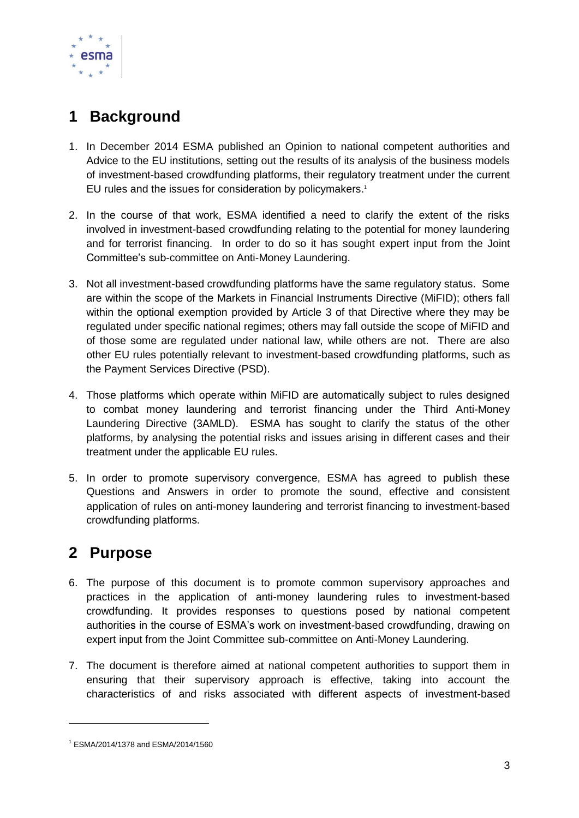

## <span id="page-2-0"></span>**1 Background**

- 1. In December 2014 ESMA published an Opinion to national competent authorities and Advice to the EU institutions, setting out the results of its analysis of the business models of investment-based crowdfunding platforms, their regulatory treatment under the current EU rules and the issues for consideration by policymakers. 1
- 2. In the course of that work, ESMA identified a need to clarify the extent of the risks involved in investment-based crowdfunding relating to the potential for money laundering and for terrorist financing. In order to do so it has sought expert input from the Joint Committee's sub-committee on Anti-Money Laundering.
- 3. Not all investment-based crowdfunding platforms have the same regulatory status. Some are within the scope of the Markets in Financial Instruments Directive (MiFID); others fall within the optional exemption provided by Article 3 of that Directive where they may be regulated under specific national regimes; others may fall outside the scope of MiFID and of those some are regulated under national law, while others are not. There are also other EU rules potentially relevant to investment-based crowdfunding platforms, such as the Payment Services Directive (PSD).
- 4. Those platforms which operate within MiFID are automatically subject to rules designed to combat money laundering and terrorist financing under the Third Anti-Money Laundering Directive (3AMLD). ESMA has sought to clarify the status of the other platforms, by analysing the potential risks and issues arising in different cases and their treatment under the applicable EU rules.
- 5. In order to promote supervisory convergence, ESMA has agreed to publish these Questions and Answers in order to promote the sound, effective and consistent application of rules on anti-money laundering and terrorist financing to investment-based crowdfunding platforms.

## <span id="page-2-1"></span>**2 Purpose**

-

- 6. The purpose of this document is to promote common supervisory approaches and practices in the application of anti-money laundering rules to investment-based crowdfunding. It provides responses to questions posed by national competent authorities in the course of ESMA's work on investment-based crowdfunding, drawing on expert input from the Joint Committee sub-committee on Anti-Money Laundering.
- 7. The document is therefore aimed at national competent authorities to support them in ensuring that their supervisory approach is effective, taking into account the characteristics of and risks associated with different aspects of investment-based

<sup>1</sup> ESMA/2014/1378 and ESMA/2014/1560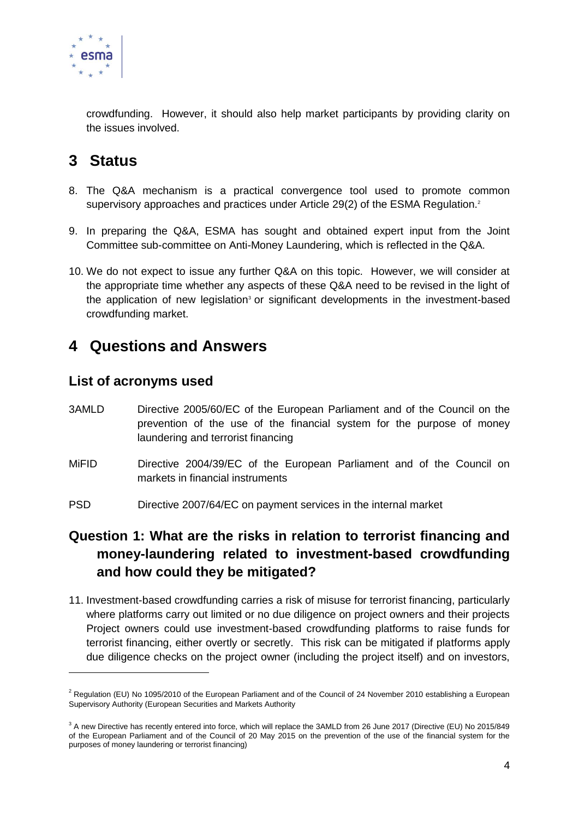

crowdfunding. However, it should also help market participants by providing clarity on the issues involved.

## <span id="page-3-0"></span>**3 Status**

- 8. The Q&A mechanism is a practical convergence tool used to promote common supervisory approaches and practices under Article 29(2) of the ESMA Regulation.<sup>2</sup>
- 9. In preparing the Q&A, ESMA has sought and obtained expert input from the Joint Committee sub-committee on Anti-Money Laundering, which is reflected in the Q&A.
- 10. We do not expect to issue any further Q&A on this topic. However, we will consider at the appropriate time whether any aspects of these Q&A need to be revised in the light of the application of new legislation<sup>3</sup> or significant developments in the investment-based crowdfunding market.

### <span id="page-3-1"></span>**4 Questions and Answers**

#### <span id="page-3-2"></span>**List of acronyms used**

-

- 3AMLD Directive 2005/60/EC of the European Parliament and of the Council on the prevention of the use of the financial system for the purpose of money laundering and terrorist financing
- MiFID Directive 2004/39/EC of the European Parliament and of the Council on markets in financial instruments
- PSD Directive 2007/64/EC on payment services in the internal market

#### <span id="page-3-3"></span>**Question 1: What are the risks in relation to terrorist financing and money-laundering related to investment-based crowdfunding and how could they be mitigated?**

11. Investment-based crowdfunding carries a risk of misuse for terrorist financing, particularly where platforms carry out limited or no due diligence on project owners and their projects Project owners could use investment-based crowdfunding platforms to raise funds for terrorist financing, either overtly or secretly. This risk can be mitigated if platforms apply due diligence checks on the project owner (including the project itself) and on investors,

 $2$  Regulation (EU) No 1095/2010 of the European Parliament and of the Council of 24 November 2010 establishing a European Supervisory Authority (European Securities and Markets Authority

<sup>&</sup>lt;sup>3</sup> A new Directive has recently entered into force, which will replace the 3AMLD from 26 June 2017 (Directive (EU) No 2015/849 of the European Parliament and of the Council of 20 May 2015 on the prevention of the use of the financial system for the purposes of money laundering or terrorist financing)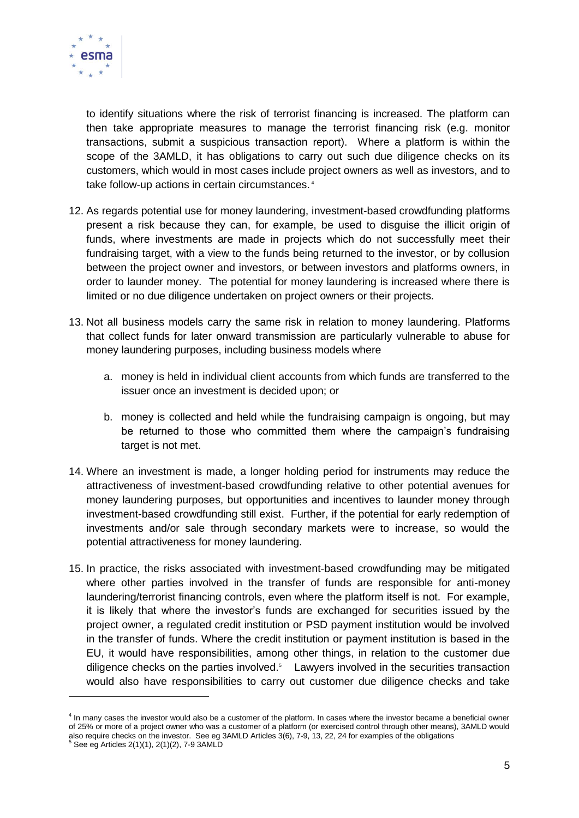

1

to identify situations where the risk of terrorist financing is increased. The platform can then take appropriate measures to manage the terrorist financing risk (e.g. monitor transactions, submit a suspicious transaction report). Where a platform is within the scope of the 3AMLD, it has obligations to carry out such due diligence checks on its customers, which would in most cases include project owners as well as investors, and to take follow-up actions in certain circumstances. 4

- 12. As regards potential use for money laundering, investment-based crowdfunding platforms present a risk because they can, for example, be used to disguise the illicit origin of funds, where investments are made in projects which do not successfully meet their fundraising target, with a view to the funds being returned to the investor, or by collusion between the project owner and investors, or between investors and platforms owners, in order to launder money. The potential for money laundering is increased where there is limited or no due diligence undertaken on project owners or their projects.
- 13. Not all business models carry the same risk in relation to money laundering. Platforms that collect funds for later onward transmission are particularly vulnerable to abuse for money laundering purposes, including business models where
	- a. money is held in individual client accounts from which funds are transferred to the issuer once an investment is decided upon; or
	- b. money is collected and held while the fundraising campaign is ongoing, but may be returned to those who committed them where the campaign's fundraising target is not met.
- 14. Where an investment is made, a longer holding period for instruments may reduce the attractiveness of investment-based crowdfunding relative to other potential avenues for money laundering purposes, but opportunities and incentives to launder money through investment-based crowdfunding still exist. Further, if the potential for early redemption of investments and/or sale through secondary markets were to increase, so would the potential attractiveness for money laundering.
- 15. In practice, the risks associated with investment-based crowdfunding may be mitigated where other parties involved in the transfer of funds are responsible for anti-money laundering/terrorist financing controls, even where the platform itself is not. For example, it is likely that where the investor's funds are exchanged for securities issued by the project owner, a regulated credit institution or PSD payment institution would be involved in the transfer of funds. Where the credit institution or payment institution is based in the EU, it would have responsibilities, among other things, in relation to the customer due diligence checks on the parties involved.<sup>5</sup> Lawyers involved in the securities transaction would also have responsibilities to carry out customer due diligence checks and take

<sup>&</sup>lt;sup>4</sup> In many cases the investor would also be a customer of the platform. In cases where the investor became a beneficial owner of 25% or more of a project owner who was a customer of a platform (or exercised control through other means), 3AMLD would also require checks on the investor. See eg 3AMLD Articles 3(6), 7-9, 13, 22, 24 for examples of the obligations<br><sup>5</sup> See eg Articles 2(1)(1), 2(1)(2), 7-9 3AMLD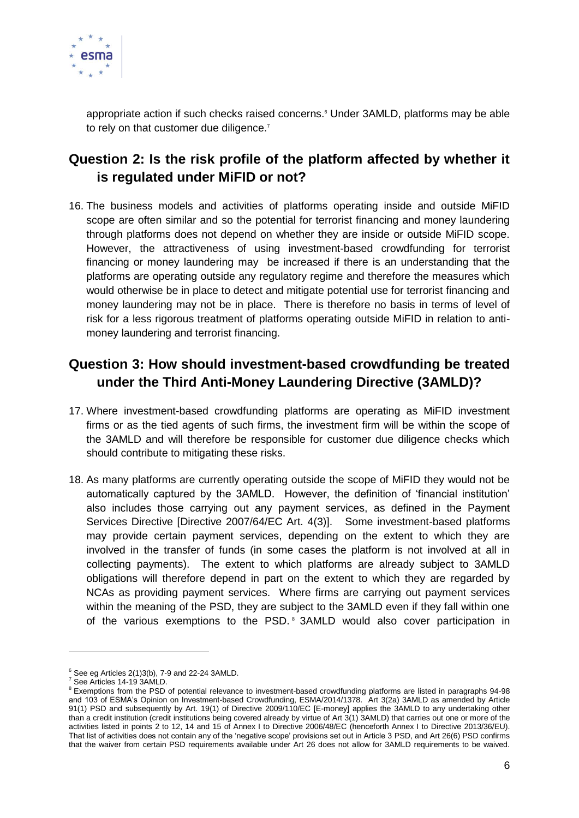

appropriate action if such checks raised concerns.<sup>6</sup> Under 3AMLD, platforms may be able to rely on that customer due diligence.<sup>7</sup>

#### <span id="page-5-0"></span>**Question 2: Is the risk profile of the platform affected by whether it is regulated under MiFID or not?**

16. The business models and activities of platforms operating inside and outside MiFID scope are often similar and so the potential for terrorist financing and money laundering through platforms does not depend on whether they are inside or outside MiFID scope. However, the attractiveness of using investment-based crowdfunding for terrorist financing or money laundering may be increased if there is an understanding that the platforms are operating outside any regulatory regime and therefore the measures which would otherwise be in place to detect and mitigate potential use for terrorist financing and money laundering may not be in place. There is therefore no basis in terms of level of risk for a less rigorous treatment of platforms operating outside MiFID in relation to antimoney laundering and terrorist financing.

#### <span id="page-5-1"></span>**Question 3: How should investment-based crowdfunding be treated under the Third Anti-Money Laundering Directive (3AMLD)?**

- 17. Where investment-based crowdfunding platforms are operating as MiFID investment firms or as the tied agents of such firms, the investment firm will be within the scope of the 3AMLD and will therefore be responsible for customer due diligence checks which should contribute to mitigating these risks.
- 18. As many platforms are currently operating outside the scope of MiFID they would not be automatically captured by the 3AMLD. However, the definition of 'financial institution' also includes those carrying out any payment services, as defined in the Payment Services Directive [Directive 2007/64/EC Art. 4(3)]. Some investment-based platforms may provide certain payment services, depending on the extent to which they are involved in the transfer of funds (in some cases the platform is not involved at all in collecting payments). The extent to which platforms are already subject to 3AMLD obligations will therefore depend in part on the extent to which they are regarded by NCAs as providing payment services. Where firms are carrying out payment services within the meaning of the PSD, they are subject to the 3AMLD even if they fall within one of the various exemptions to the PSD.<sup>8</sup> 3AMLD would also cover participation in

-

 $^6$  See eg Articles 2(1)3(b), 7-9 and 22-24 3AMLD.

<sup>7</sup> See Articles 14-19 3AMLD.

**<sup>8</sup> Exemptions from the PSD of potential relevance to investment-based crowdfunding platforms are listed in paragraphs 94-98** and 103 of ESMA's Opinion on Investment-based Crowdfunding, ESMA/2014/1378. Art 3(2a) 3AMLD as amended by Article 91(1) PSD and subsequently by Art. 19(1) of Directive 2009/110/EC [E-money] applies the 3AMLD to any undertaking other than a credit institution (credit institutions being covered already by virtue of Art 3(1) 3AMLD) that carries out one or more of the activities listed in points 2 to 12, 14 and 15 of Annex I to Directive 2006/48/EC (henceforth Annex I to Directive 2013/36/EU). That list of activities does not contain any of the 'negative scope' provisions set out in Article 3 PSD, and Art 26(6) PSD confirms that the waiver from certain PSD requirements available under Art 26 does not allow for 3AMLD requirements to be waived.